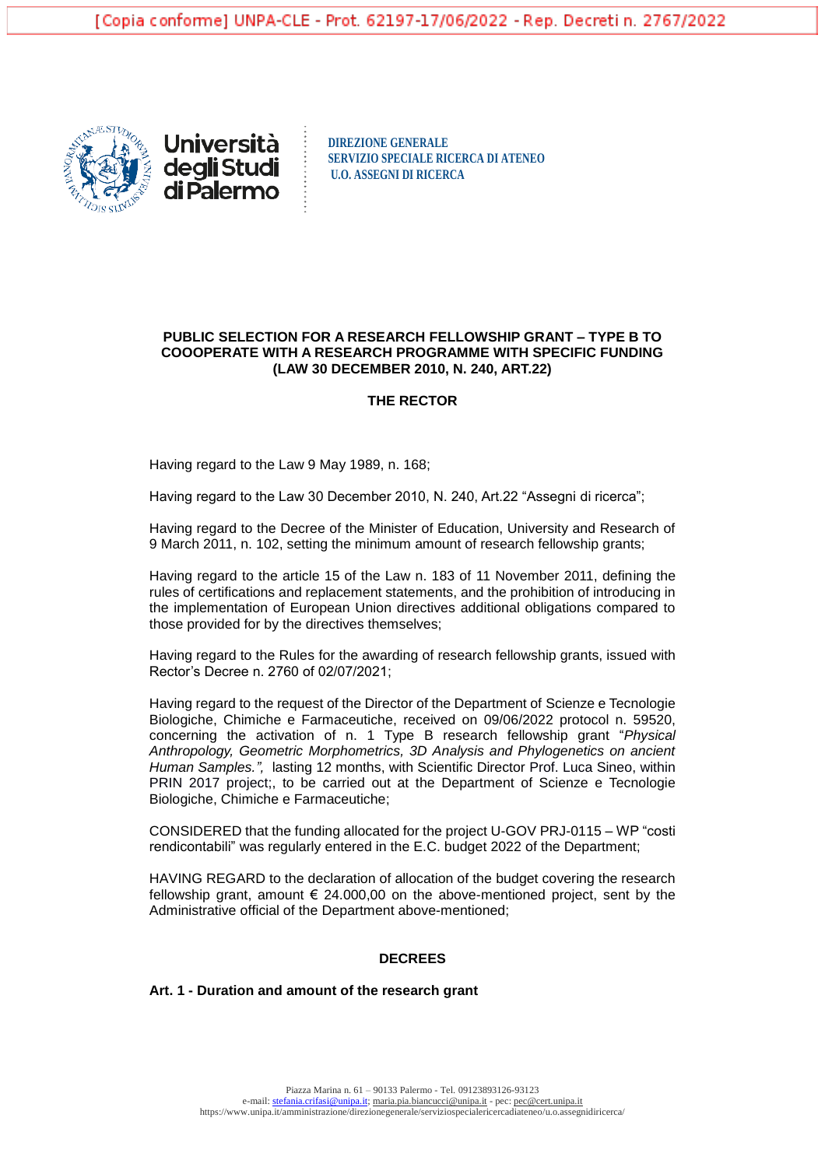



**DIREZIONE GENERALE SERVIZIO SPECIALE RICERCA DI ATENEO U.O. ASSEGNI DI RICERCA**

## **PUBLIC SELECTION FOR A RESEARCH FELLOWSHIP GRANT – TYPE B TO COOOPERATE WITH A RESEARCH PROGRAMME WITH SPECIFIC FUNDING (LAW 30 DECEMBER 2010, N. 240, ART.22)**

#### **THE RECTOR**

Having regard to the Law 9 May 1989, n. 168;

Having regard to the Law 30 December 2010, N. 240, Art.22 "Assegni di ricerca";

Having regard to the Decree of the Minister of Education, University and Research of 9 March 2011, n. 102, setting the minimum amount of research fellowship grants;

Having regard to the article 15 of the Law n. 183 of 11 November 2011, defining the rules of certifications and replacement statements, and the prohibition of introducing in the implementation of European Union directives additional obligations compared to those provided for by the directives themselves;

Having regard to the Rules for the awarding of research fellowship grants, issued with Rector's Decree n. 2760 of 02/07/2021;

Having regard to the request of the Director of the Department of Scienze e Tecnologie Biologiche, Chimiche e Farmaceutiche, received on 09/06/2022 protocol n. 59520, concerning the activation of n. 1 Type B research fellowship grant "*Physical Anthropology, Geometric Morphometrics, 3D Analysis and Phylogenetics on ancient Human Samples.",* lasting 12 months, with Scientific Director Prof. Luca Sineo, within PRIN 2017 project;, to be carried out at the Department of Scienze e Tecnologie Biologiche, Chimiche e Farmaceutiche;

CONSIDERED that the funding allocated for the project U-GOV PRJ-0115 – WP "costi rendicontabili" was regularly entered in the E.C. budget 2022 of the Department;

HAVING REGARD to the declaration of allocation of the budget covering the research fellowship grant, amount  $\epsilon$  24,000,00 on the above-mentioned project, sent by the Administrative official of the Department above-mentioned;

### **DECREES**

#### **Art. 1 - Duration and amount of the research grant**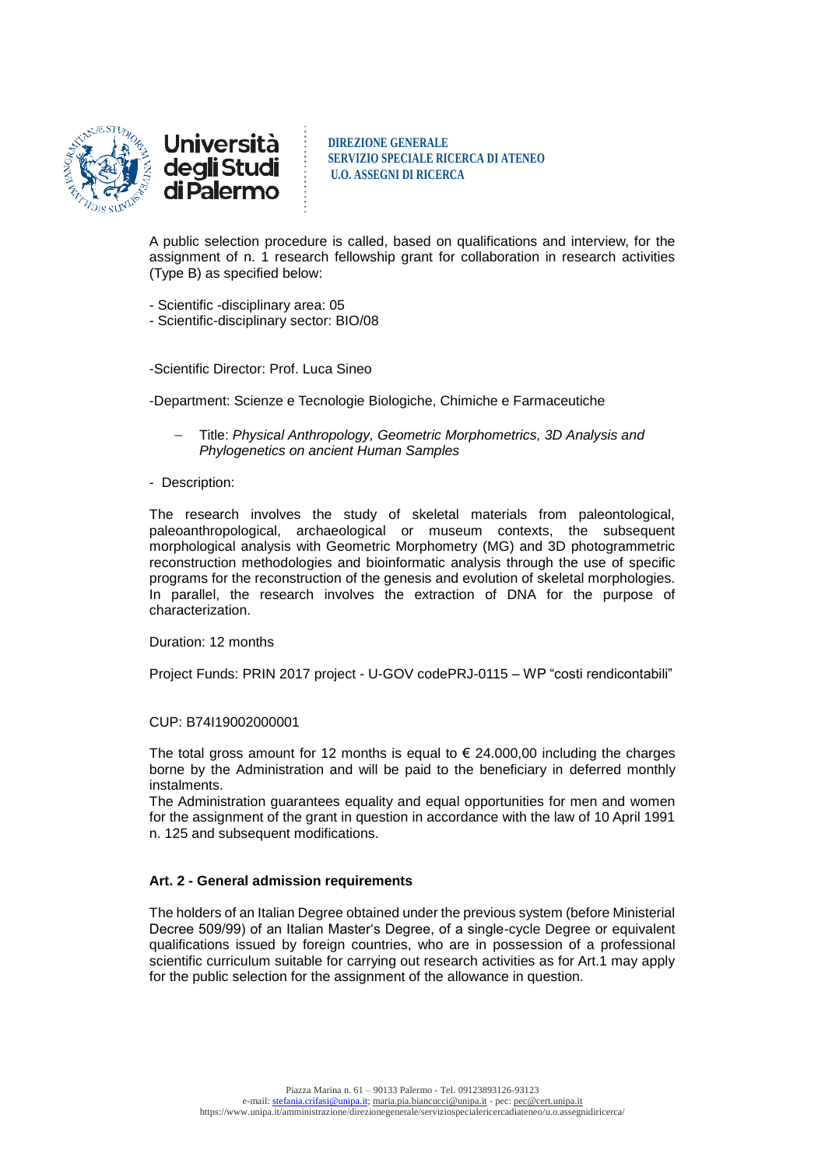

<u>Università</u> deg**li** Studi<br>di Palermo

**DIREZIONE GENERALE SERVIZIO SPECIALE RICERCA DI ATENEO U.O. ASSEGNI DI RICERCA**

A public selection procedure is called, based on qualifications and interview, for the assignment of n. 1 research fellowship grant for collaboration in research activities (Type B) as specified below:

- Scientific -disciplinary area: 05
- Scientific-disciplinary sector: BIO/08

-Scientific Director: Prof. Luca Sineo

-Department: Scienze e Tecnologie Biologiche, Chimiche e Farmaceutiche

 Title: *Physical Anthropology, Geometric Morphometrics, 3D Analysis and Phylogenetics on ancient Human Samples*

#### - Description:

The research involves the study of skeletal materials from paleontological, paleoanthropological, archaeological or museum contexts, the subsequent morphological analysis with Geometric Morphometry (MG) and 3D photogrammetric reconstruction methodologies and bioinformatic analysis through the use of specific programs for the reconstruction of the genesis and evolution of skeletal morphologies. In parallel, the research involves the extraction of DNA for the purpose of characterization.

#### Duration: 12 months

Project Funds: PRIN 2017 project - U-GOV codePRJ-0115 – WP "costi rendicontabili"

#### CUP: B74I19002000001

The total gross amount for 12 months is equal to  $\epsilon$  24.000,00 including the charges borne by the Administration and will be paid to the beneficiary in deferred monthly instalments.

The Administration guarantees equality and equal opportunities for men and women for the assignment of the grant in question in accordance with the law of 10 April 1991 n. 125 and subsequent modifications.

# **Art. 2 - General admission requirements**

The holders of an Italian Degree obtained under the previous system (before Ministerial Decree 509/99) of an Italian Master's Degree, of a single-cycle Degree or equivalent qualifications issued by foreign countries, who are in possession of a professional scientific curriculum suitable for carrying out research activities as for Art.1 may apply for the public selection for the assignment of the allowance in question.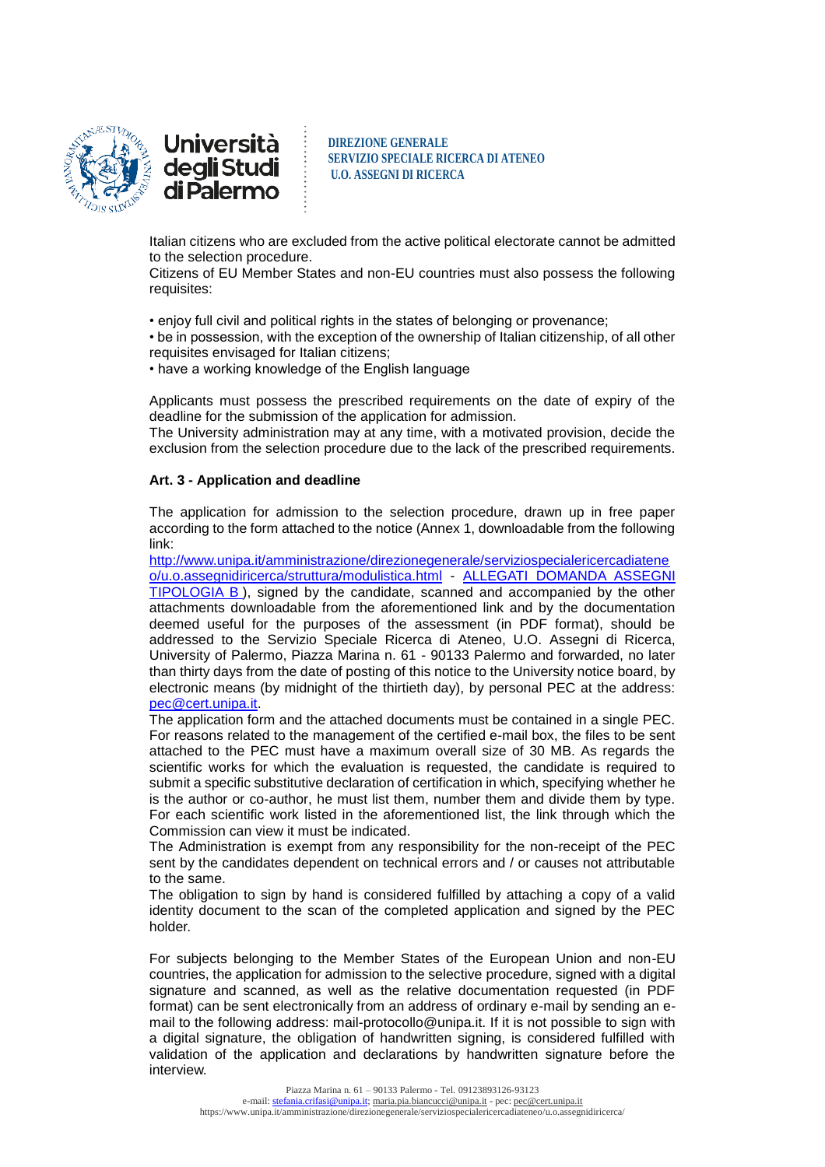

<u>Università</u> deg**li** Studi<br>di Palermo

**DIREZIONE GENERALE SERVIZIO SPECIALE RICERCA DI ATENEO U.O. ASSEGNI DI RICERCA**

Italian citizens who are excluded from the active political electorate cannot be admitted to the selection procedure.

Citizens of EU Member States and non-EU countries must also possess the following requisites:

• enjoy full civil and political rights in the states of belonging or provenance;

• be in possession, with the exception of the ownership of Italian citizenship, of all other requisites envisaged for Italian citizens;

• have a working knowledge of the English language

Applicants must possess the prescribed requirements on the date of expiry of the deadline for the submission of the application for admission.

The University administration may at any time, with a motivated provision, decide the exclusion from the selection procedure due to the lack of the prescribed requirements.

#### **Art. 3 - Application and deadline**

The application for admission to the selection procedure, drawn up in free paper according to the form attached to the notice (Annex 1, downloadable from the following link:

[http://www.unipa.it/amministrazione/direzionegenerale/serviziospecialericercadiatene](http://www.unipa.it/amministrazione/direzionegenerale/serviziospecialericercadiateneo/u.o.assegnidiricerca/struttura/modulistica.html) [o/u.o.assegnidiricerca/struttura/modulistica.html](http://www.unipa.it/amministrazione/direzionegenerale/serviziospecialericercadiateneo/u.o.assegnidiricerca/struttura/modulistica.html) - [ALLEGATI DOMANDA ASSEGNI](http://www.unipa.it/amministrazione/direzionegenerale/serviziospecialericercadiateneo/u.o.assegnidiricerca/.content/documenti/allegati_domanda_ass._tipologia_b_.doc)  [TIPOLOGIA B](http://www.unipa.it/amministrazione/direzionegenerale/serviziospecialericercadiateneo/u.o.assegnidiricerca/.content/documenti/allegati_domanda_ass._tipologia_b_.doc) ), signed by the candidate, scanned and accompanied by the other attachments downloadable from the aforementioned link and by the documentation deemed useful for the purposes of the assessment (in PDF format), should be addressed to the Servizio Speciale Ricerca di Ateneo, U.O. Assegni di Ricerca, University of Palermo, Piazza Marina n. 61 - 90133 Palermo and forwarded, no later than thirty days from the date of posting of this notice to the University notice board, by electronic means (by midnight of the thirtieth day), by personal PEC at the address: [pec@cert.unipa.it.](mailto:pec@cert.unipa.it)

The application form and the attached documents must be contained in a single PEC. For reasons related to the management of the certified e-mail box, the files to be sent attached to the PEC must have a maximum overall size of 30 MB. As regards the scientific works for which the evaluation is requested, the candidate is required to submit a specific substitutive declaration of certification in which, specifying whether he is the author or co-author, he must list them, number them and divide them by type. For each scientific work listed in the aforementioned list, the link through which the Commission can view it must be indicated.

The Administration is exempt from any responsibility for the non-receipt of the PEC sent by the candidates dependent on technical errors and / or causes not attributable to the same.

The obligation to sign by hand is considered fulfilled by attaching a copy of a valid identity document to the scan of the completed application and signed by the PEC holder.

For subjects belonging to the Member States of the European Union and non-EU countries, the application for admission to the selective procedure, signed with a digital signature and scanned, as well as the relative documentation requested (in PDF format) can be sent electronically from an address of ordinary e-mail by sending an email to the following address: mail-protocollo@unipa.it. If it is not possible to sign with a digital signature, the obligation of handwritten signing, is considered fulfilled with validation of the application and declarations by handwritten signature before the interview.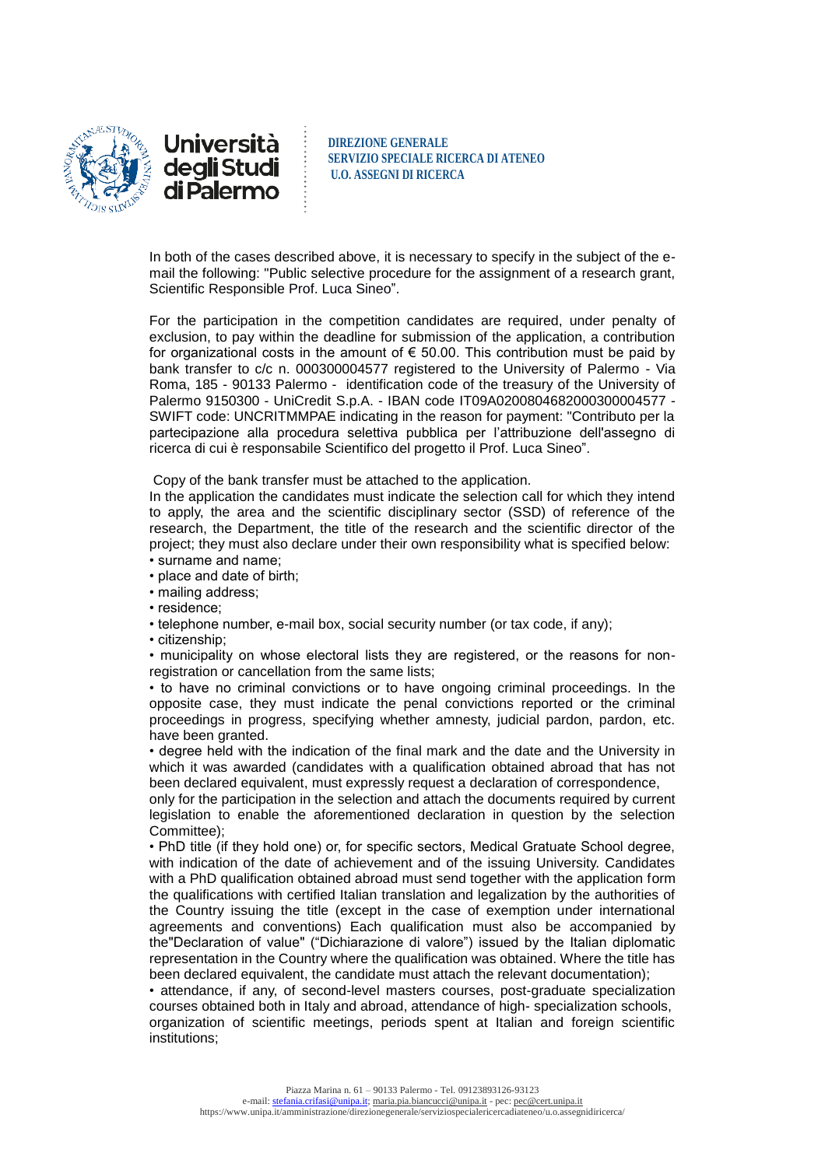

<u>Università</u> degli Studi di Palermo

**DIREZIONE GENERALE SERVIZIO SPECIALE RICERCA DI ATENEO U.O. ASSEGNI DI RICERCA**

In both of the cases described above, it is necessary to specify in the subject of the email the following: "Public selective procedure for the assignment of a research grant, Scientific Responsible Prof. Luca Sineo".

For the participation in the competition candidates are required, under penalty of exclusion, to pay within the deadline for submission of the application, a contribution for organizational costs in the amount of  $\epsilon$  50.00. This contribution must be paid by bank transfer to c/c n. 000300004577 registered to the University of Palermo - Via Roma, 185 - 90133 Palermo - identification code of the treasury of the University of Palermo 9150300 - UniCredit S.p.A. - IBAN code IT09A0200804682000300004577 - SWIFT code: UNCRITMMPAE indicating in the reason for payment: "Contributo per la partecipazione alla procedura selettiva pubblica per l'attribuzione dell'assegno di ricerca di cui è responsabile Scientifico del progetto il Prof. Luca Sineo".

Copy of the bank transfer must be attached to the application.

In the application the candidates must indicate the selection call for which they intend to apply, the area and the scientific disciplinary sector (SSD) of reference of the research, the Department, the title of the research and the scientific director of the project; they must also declare under their own responsibility what is specified below:

- surname and name;
- place and date of birth;
- mailing address;
- residence;
- telephone number, e-mail box, social security number (or tax code, if any);
- citizenship;

• municipality on whose electoral lists they are registered, or the reasons for nonregistration or cancellation from the same lists;

• to have no criminal convictions or to have ongoing criminal proceedings. In the opposite case, they must indicate the penal convictions reported or the criminal proceedings in progress, specifying whether amnesty, judicial pardon, pardon, etc. have been granted.

• degree held with the indication of the final mark and the date and the University in which it was awarded (candidates with a qualification obtained abroad that has not been declared equivalent, must expressly request a declaration of correspondence,

only for the participation in the selection and attach the documents required by current legislation to enable the aforementioned declaration in question by the selection Committee);

• PhD title (if they hold one) or, for specific sectors, Medical Gratuate School degree, with indication of the date of achievement and of the issuing University. Candidates with a PhD qualification obtained abroad must send together with the application form the qualifications with certified Italian translation and legalization by the authorities of the Country issuing the title (except in the case of exemption under international agreements and conventions) Each qualification must also be accompanied by the"Declaration of value" ("Dichiarazione di valore") issued by the Italian diplomatic representation in the Country where the qualification was obtained. Where the title has been declared equivalent, the candidate must attach the relevant documentation);

• attendance, if any, of second-level masters courses, post-graduate specialization courses obtained both in Italy and abroad, attendance of high- specialization schools, organization of scientific meetings, periods spent at Italian and foreign scientific institutions;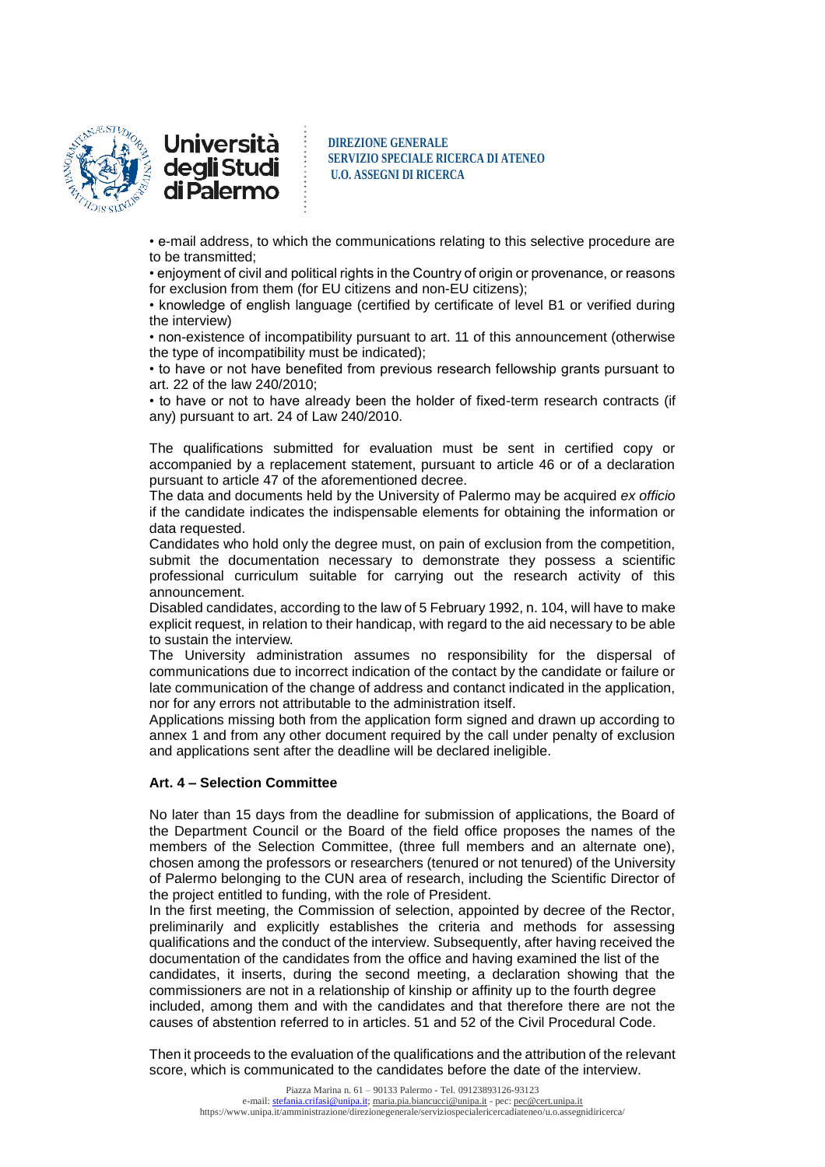

<u>Università</u> degli Studi di Palermo

**DIREZIONE GENERALE SERVIZIO SPECIALE RICERCA DI ATENEO U.O. ASSEGNI DI RICERCA**

• e-mail address, to which the communications relating to this selective procedure are to be transmitted;

• enjoyment of civil and political rights in the Country of origin or provenance, or reasons for exclusion from them (for EU citizens and non-EU citizens);

• knowledge of english language (certified by certificate of level B1 or verified during the interview)

• non-existence of incompatibility pursuant to art. 11 of this announcement (otherwise the type of incompatibility must be indicated);

• to have or not have benefited from previous research fellowship grants pursuant to art. 22 of the law 240/2010;

• to have or not to have already been the holder of fixed-term research contracts (if any) pursuant to art. 24 of Law 240/2010.

The qualifications submitted for evaluation must be sent in certified copy or accompanied by a replacement statement, pursuant to article 46 or of a declaration pursuant to article 47 of the aforementioned decree.

The data and documents held by the University of Palermo may be acquired *ex officio* if the candidate indicates the indispensable elements for obtaining the information or data requested.

Candidates who hold only the degree must, on pain of exclusion from the competition, submit the documentation necessary to demonstrate they possess a scientific professional curriculum suitable for carrying out the research activity of this announcement.

Disabled candidates, according to the law of 5 February 1992, n. 104, will have to make explicit request, in relation to their handicap, with regard to the aid necessary to be able to sustain the interview.

The University administration assumes no responsibility for the dispersal of communications due to incorrect indication of the contact by the candidate or failure or late communication of the change of address and contanct indicated in the application, nor for any errors not attributable to the administration itself.

Applications missing both from the application form signed and drawn up according to annex 1 and from any other document required by the call under penalty of exclusion and applications sent after the deadline will be declared ineligible.

### **Art. 4 – Selection Committee**

No later than 15 days from the deadline for submission of applications, the Board of the Department Council or the Board of the field office proposes the names of the members of the Selection Committee, (three full members and an alternate one), chosen among the professors or researchers (tenured or not tenured) of the University of Palermo belonging to the CUN area of research, including the Scientific Director of the project entitled to funding, with the role of President.

In the first meeting, the Commission of selection, appointed by decree of the Rector, preliminarily and explicitly establishes the criteria and methods for assessing qualifications and the conduct of the interview. Subsequently, after having received the documentation of the candidates from the office and having examined the list of the candidates, it inserts, during the second meeting, a declaration showing that the commissioners are not in a relationship of kinship or affinity up to the fourth degree included, among them and with the candidates and that therefore there are not the causes of abstention referred to in articles. 51 and 52 of the Civil Procedural Code.

Then it proceeds to the evaluation of the qualifications and the attribution of the relevant score, which is communicated to the candidates before the date of the interview.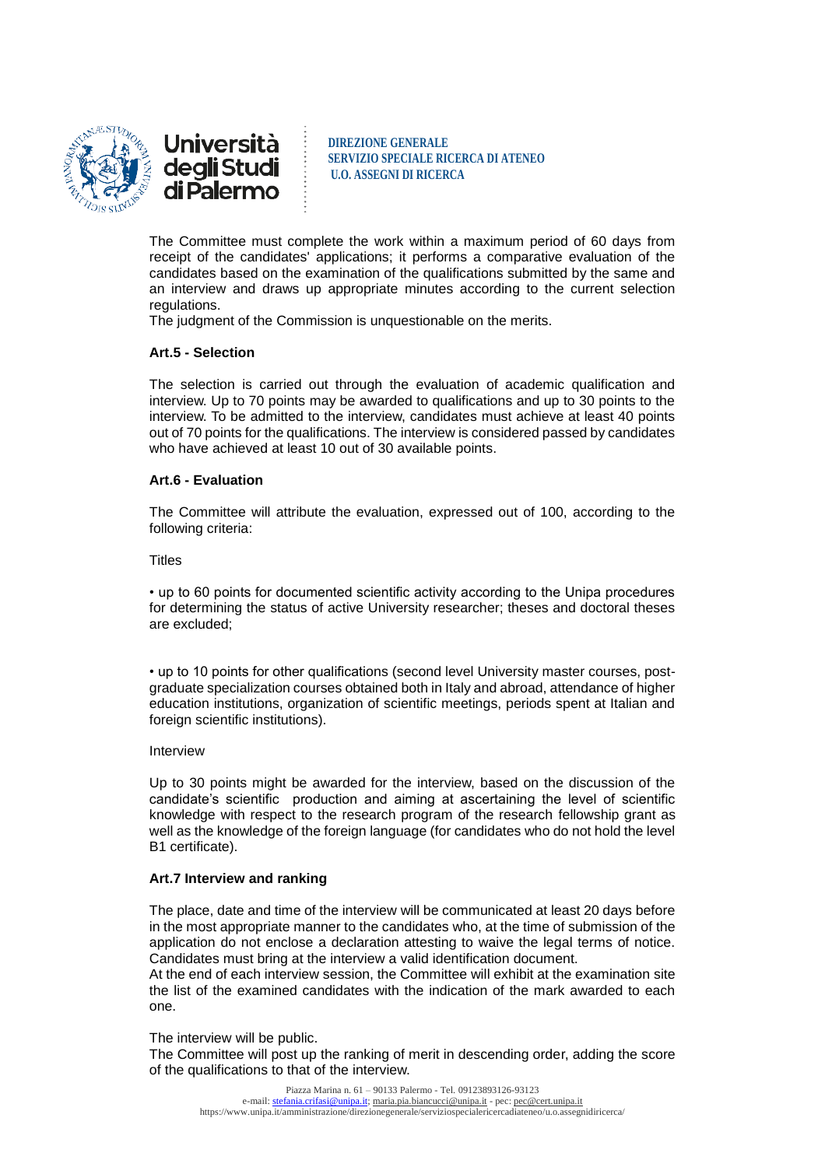

**Università** deg**li** Studi<br>di Palermo

**DIREZIONE GENERALE SERVIZIO SPECIALE RICERCA DI ATENEO U.O. ASSEGNI DI RICERCA**

The Committee must complete the work within a maximum period of 60 days from receipt of the candidates' applications; it performs a comparative evaluation of the candidates based on the examination of the qualifications submitted by the same and an interview and draws up appropriate minutes according to the current selection regulations.

The judgment of the Commission is unquestionable on the merits.

# **Art.5 - Selection**

The selection is carried out through the evaluation of academic qualification and interview. Up to 70 points may be awarded to qualifications and up to 30 points to the interview. To be admitted to the interview, candidates must achieve at least 40 points out of 70 points for the qualifications. The interview is considered passed by candidates who have achieved at least 10 out of 30 available points.

## **Art.6 - Evaluation**

The Committee will attribute the evaluation, expressed out of 100, according to the following criteria:

#### **Titles**

• up to 60 points for documented scientific activity according to the Unipa procedures for determining the status of active University researcher; theses and doctoral theses are excluded;

• up to 10 points for other qualifications (second level University master courses, postgraduate specialization courses obtained both in Italy and abroad, attendance of higher education institutions, organization of scientific meetings, periods spent at Italian and foreign scientific institutions).

#### Interview

Up to 30 points might be awarded for the interview, based on the discussion of the candidate's scientific production and aiming at ascertaining the level of scientific knowledge with respect to the research program of the research fellowship grant as well as the knowledge of the foreign language (for candidates who do not hold the level B1 certificate).

#### **Art.7 Interview and ranking**

The place, date and time of the interview will be communicated at least 20 days before in the most appropriate manner to the candidates who, at the time of submission of the application do not enclose a declaration attesting to waive the legal terms of notice. Candidates must bring at the interview a valid identification document.

At the end of each interview session, the Committee will exhibit at the examination site the list of the examined candidates with the indication of the mark awarded to each one.

The interview will be public.

The Committee will post up the ranking of merit in descending order, adding the score of the qualifications to that of the interview.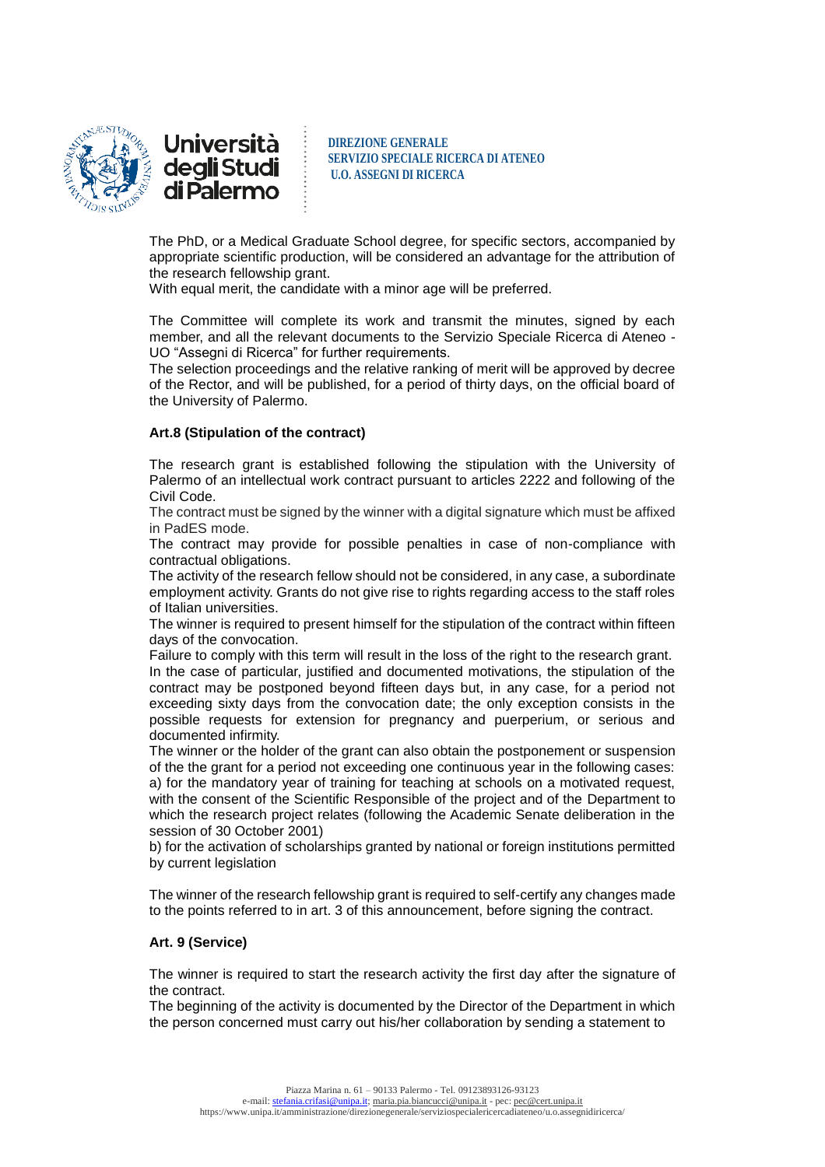

<u>Università</u> deg**li** Studi<br>di Palermo

**DIREZIONE GENERALE SERVIZIO SPECIALE RICERCA DI ATENEO U.O. ASSEGNI DI RICERCA**

The PhD, or a Medical Graduate School degree, for specific sectors, accompanied by appropriate scientific production, will be considered an advantage for the attribution of the research fellowship grant.

With equal merit, the candidate with a minor age will be preferred.

The Committee will complete its work and transmit the minutes, signed by each member, and all the relevant documents to the Servizio Speciale Ricerca di Ateneo - UO "Assegni di Ricerca" for further requirements.

The selection proceedings and the relative ranking of merit will be approved by decree of the Rector, and will be published, for a period of thirty days, on the official board of the University of Palermo.

# **Art.8 (Stipulation of the contract)**

The research grant is established following the stipulation with the University of Palermo of an intellectual work contract pursuant to articles 2222 and following of the Civil Code.

The contract must be signed by the winner with a digital signature which must be affixed in PadES mode.

The contract may provide for possible penalties in case of non-compliance with contractual obligations.

The activity of the research fellow should not be considered, in any case, a subordinate employment activity. Grants do not give rise to rights regarding access to the staff roles of Italian universities.

The winner is required to present himself for the stipulation of the contract within fifteen days of the convocation.

Failure to comply with this term will result in the loss of the right to the research grant. In the case of particular, justified and documented motivations, the stipulation of the contract may be postponed beyond fifteen days but, in any case, for a period not exceeding sixty days from the convocation date; the only exception consists in the possible requests for extension for pregnancy and puerperium, or serious and documented infirmity.

The winner or the holder of the grant can also obtain the postponement or suspension of the the grant for a period not exceeding one continuous year in the following cases: a) for the mandatory year of training for teaching at schools on a motivated request, with the consent of the Scientific Responsible of the project and of the Department to which the research project relates (following the Academic Senate deliberation in the session of 30 October 2001)

b) for the activation of scholarships granted by national or foreign institutions permitted by current legislation

The winner of the research fellowship grant is required to self-certify any changes made to the points referred to in art. 3 of this announcement, before signing the contract.

## **Art. 9 (Service)**

The winner is required to start the research activity the first day after the signature of the contract.

The beginning of the activity is documented by the Director of the Department in which the person concerned must carry out his/her collaboration by sending a statement to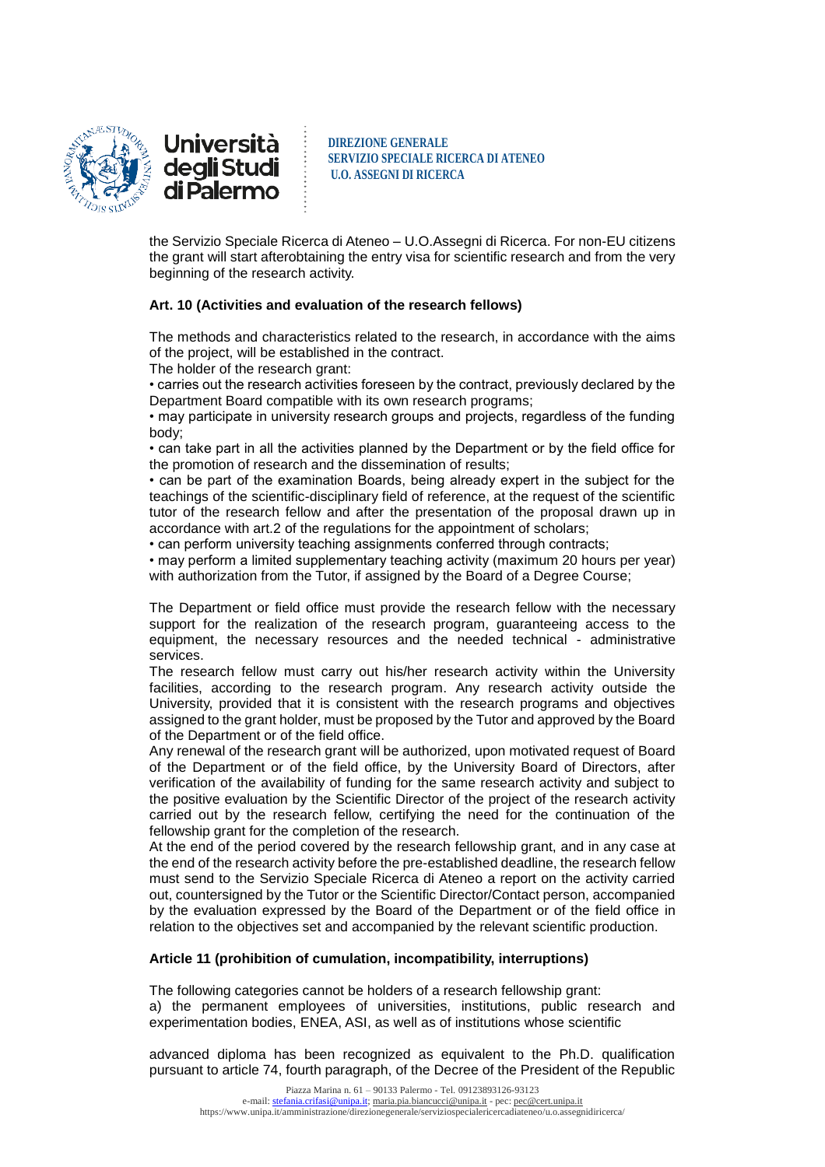

<u>Università</u> degli Studi di Palermo

**DIREZIONE GENERALE SERVIZIO SPECIALE RICERCA DI ATENEO U.O. ASSEGNI DI RICERCA**

the Servizio Speciale Ricerca di Ateneo – U.O.Assegni di Ricerca. For non-EU citizens the grant will start afterobtaining the entry visa for scientific research and from the very beginning of the research activity.

# **Art. 10 (Activities and evaluation of the research fellows)**

The methods and characteristics related to the research, in accordance with the aims of the project, will be established in the contract.

The holder of the research grant:

• carries out the research activities foreseen by the contract, previously declared by the Department Board compatible with its own research programs;

• may participate in university research groups and projects, regardless of the funding body;

• can take part in all the activities planned by the Department or by the field office for the promotion of research and the dissemination of results;

• can be part of the examination Boards, being already expert in the subject for the teachings of the scientific-disciplinary field of reference, at the request of the scientific tutor of the research fellow and after the presentation of the proposal drawn up in accordance with art.2 of the regulations for the appointment of scholars;

• can perform university teaching assignments conferred through contracts;

• may perform a limited supplementary teaching activity (maximum 20 hours per year) with authorization from the Tutor, if assigned by the Board of a Degree Course;

The Department or field office must provide the research fellow with the necessary support for the realization of the research program, guaranteeing access to the equipment, the necessary resources and the needed technical - administrative services.

The research fellow must carry out his/her research activity within the University facilities, according to the research program. Any research activity outside the University, provided that it is consistent with the research programs and objectives assigned to the grant holder, must be proposed by the Tutor and approved by the Board of the Department or of the field office.

Any renewal of the research grant will be authorized, upon motivated request of Board of the Department or of the field office, by the University Board of Directors, after verification of the availability of funding for the same research activity and subject to the positive evaluation by the Scientific Director of the project of the research activity carried out by the research fellow, certifying the need for the continuation of the fellowship grant for the completion of the research.

At the end of the period covered by the research fellowship grant, and in any case at the end of the research activity before the pre-established deadline, the research fellow must send to the Servizio Speciale Ricerca di Ateneo a report on the activity carried out, countersigned by the Tutor or the Scientific Director/Contact person, accompanied by the evaluation expressed by the Board of the Department or of the field office in relation to the objectives set and accompanied by the relevant scientific production.

# **Article 11 (prohibition of cumulation, incompatibility, interruptions)**

The following categories cannot be holders of a research fellowship grant: a) the permanent employees of universities, institutions, public research and experimentation bodies, ENEA, ASI, as well as of institutions whose scientific

advanced diploma has been recognized as equivalent to the Ph.D. qualification pursuant to article 74, fourth paragraph, of the Decree of the President of the Republic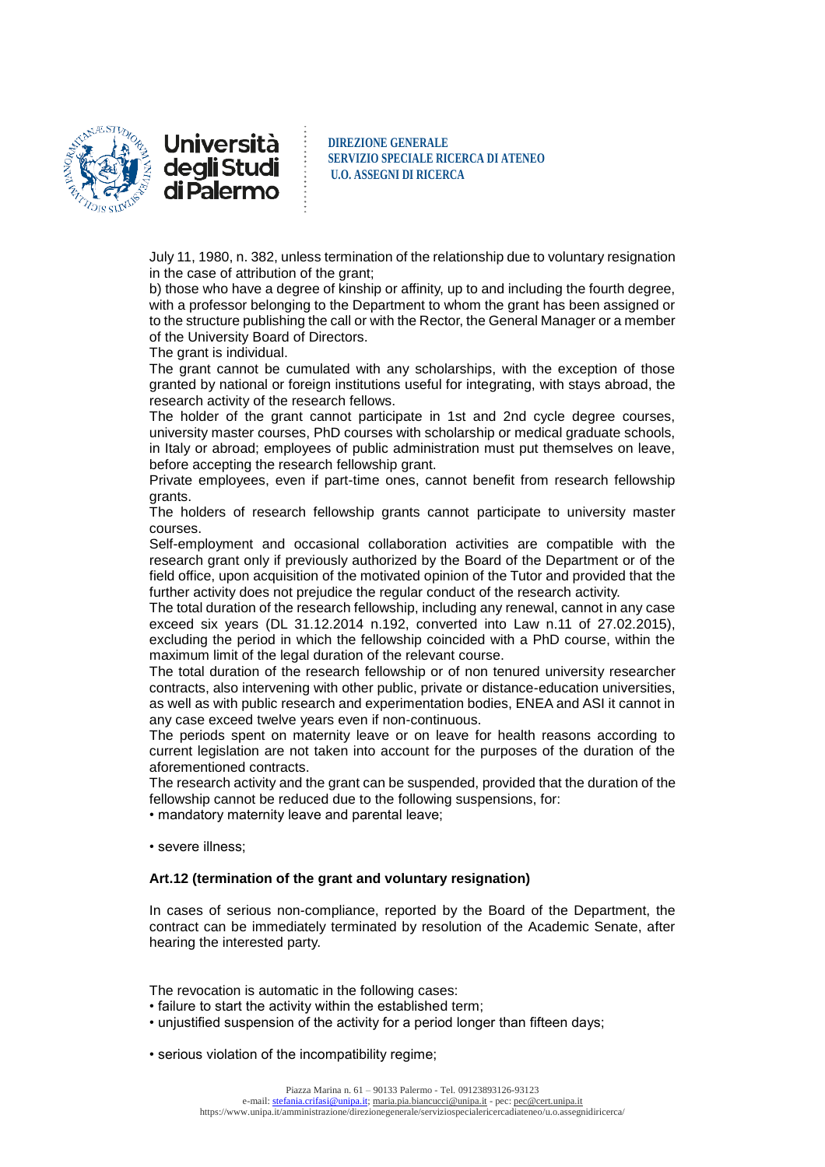

Università degli Studi di Palermo

**DIREZIONE GENERALE SERVIZIO SPECIALE RICERCA DI ATENEO U.O. ASSEGNI DI RICERCA**

July 11, 1980, n. 382, unless termination of the relationship due to voluntary resignation in the case of attribution of the grant;

b) those who have a degree of kinship or affinity, up to and including the fourth degree, with a professor belonging to the Department to whom the grant has been assigned or to the structure publishing the call or with the Rector, the General Manager or a member of the University Board of Directors.

The grant is individual.

The grant cannot be cumulated with any scholarships, with the exception of those granted by national or foreign institutions useful for integrating, with stays abroad, the research activity of the research fellows.

The holder of the grant cannot participate in 1st and 2nd cycle degree courses, university master courses, PhD courses with scholarship or medical graduate schools, in Italy or abroad; employees of public administration must put themselves on leave, before accepting the research fellowship grant.

Private employees, even if part-time ones, cannot benefit from research fellowship grants.

The holders of research fellowship grants cannot participate to university master courses.

Self-employment and occasional collaboration activities are compatible with the research grant only if previously authorized by the Board of the Department or of the field office, upon acquisition of the motivated opinion of the Tutor and provided that the further activity does not prejudice the regular conduct of the research activity.

The total duration of the research fellowship, including any renewal, cannot in any case exceed six years (DL 31.12.2014 n.192, converted into Law n.11 of 27.02.2015), excluding the period in which the fellowship coincided with a PhD course, within the maximum limit of the legal duration of the relevant course.

The total duration of the research fellowship or of non tenured university researcher contracts, also intervening with other public, private or distance-education universities, as well as with public research and experimentation bodies, ENEA and ASI it cannot in any case exceed twelve years even if non-continuous.

The periods spent on maternity leave or on leave for health reasons according to current legislation are not taken into account for the purposes of the duration of the aforementioned contracts.

The research activity and the grant can be suspended, provided that the duration of the fellowship cannot be reduced due to the following suspensions, for:

• mandatory maternity leave and parental leave;

• severe illness;

#### **Art.12 (termination of the grant and voluntary resignation)**

In cases of serious non-compliance, reported by the Board of the Department, the contract can be immediately terminated by resolution of the Academic Senate, after hearing the interested party.

The revocation is automatic in the following cases:

- failure to start the activity within the established term;
- unjustified suspension of the activity for a period longer than fifteen days;

• serious violation of the incompatibility regime;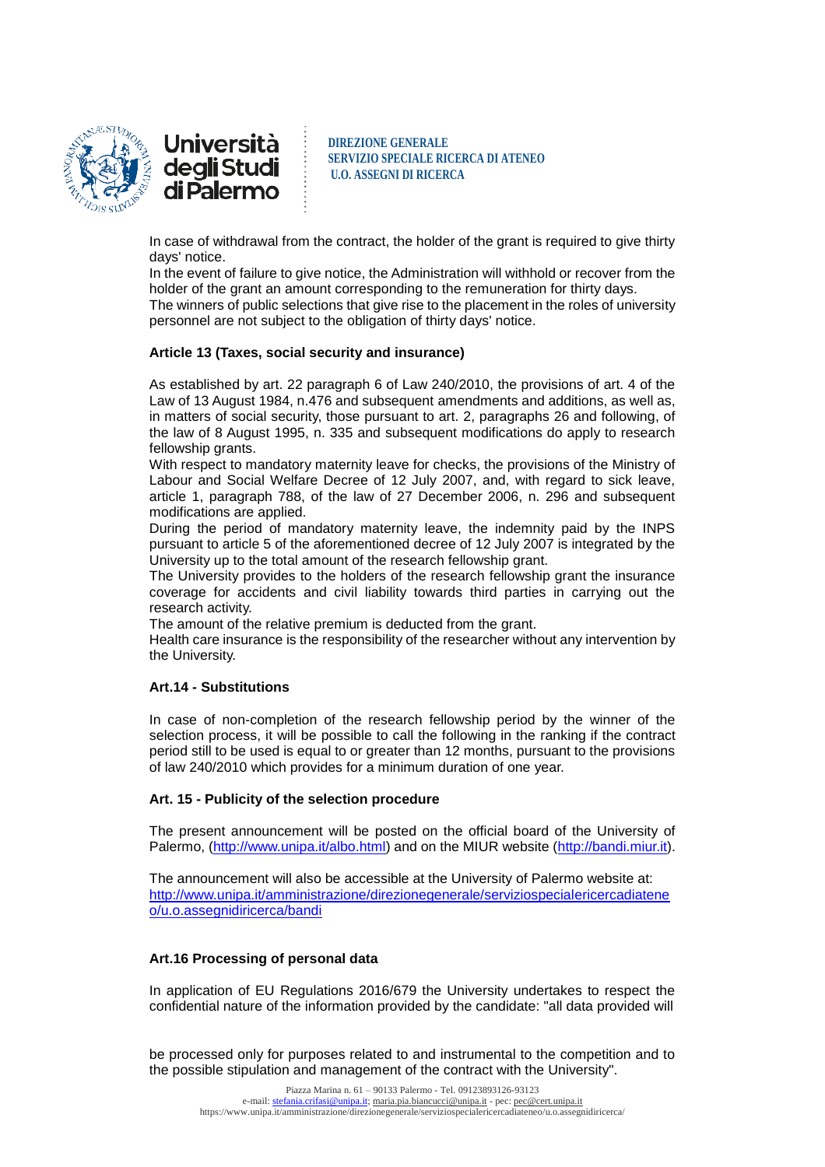

**Università** degli Studi di Palermo

**DIREZIONE GENERALE SERVIZIO SPECIALE RICERCA DI ATENEO U.O. ASSEGNI DI RICERCA**

In case of withdrawal from the contract, the holder of the grant is required to give thirty days' notice.

In the event of failure to give notice, the Administration will withhold or recover from the holder of the grant an amount corresponding to the remuneration for thirty days. The winners of public selections that give rise to the placement in the roles of university personnel are not subject to the obligation of thirty days' notice.

#### **Article 13 (Taxes, social security and insurance)**

As established by art. 22 paragraph 6 of Law 240/2010, the provisions of art. 4 of the Law of 13 August 1984, n.476 and subsequent amendments and additions, as well as, in matters of social security, those pursuant to art. 2, paragraphs 26 and following, of the law of 8 August 1995, n. 335 and subsequent modifications do apply to research fellowship grants.

With respect to mandatory maternity leave for checks, the provisions of the Ministry of Labour and Social Welfare Decree of 12 July 2007, and, with regard to sick leave, article 1, paragraph 788, of the law of 27 December 2006, n. 296 and subsequent modifications are applied.

During the period of mandatory maternity leave, the indemnity paid by the INPS pursuant to article 5 of the aforementioned decree of 12 July 2007 is integrated by the University up to the total amount of the research fellowship grant.

The University provides to the holders of the research fellowship grant the insurance coverage for accidents and civil liability towards third parties in carrying out the research activity.

The amount of the relative premium is deducted from the grant.

Health care insurance is the responsibility of the researcher without any intervention by the University.

#### **Art.14 - Substitutions**

In case of non-completion of the research fellowship period by the winner of the selection process, it will be possible to call the following in the ranking if the contract period still to be used is equal to or greater than 12 months, pursuant to the provisions of law 240/2010 which provides for a minimum duration of one year.

#### **Art. 15 - Publicity of the selection procedure**

The present announcement will be posted on the official board of the University of Palermo, [\(http://www.unipa.it/albo.html\)](http://www.unipa.it/albo.html) and on the MIUR website [\(http://bandi.miur.it\)](http://bandi.miur.it/).

The announcement will also be accessible at the University of Palermo website at: [http://www.unipa.it/amministrazione/direzionegenerale/serviziospecialericercadiatene](http://www.unipa.it/amministrazione/direzionegenerale/serviziospecialericercadiateneo/u.o.assegnidiricerca/bandi) [o/u.o.assegnidiricerca/bandi](http://www.unipa.it/amministrazione/direzionegenerale/serviziospecialericercadiateneo/u.o.assegnidiricerca/bandi)

# **Art.16 Processing of personal data**

In application of EU Regulations 2016/679 the University undertakes to respect the confidential nature of the information provided by the candidate: "all data provided will

be processed only for purposes related to and instrumental to the competition and to the possible stipulation and management of the contract with the University".